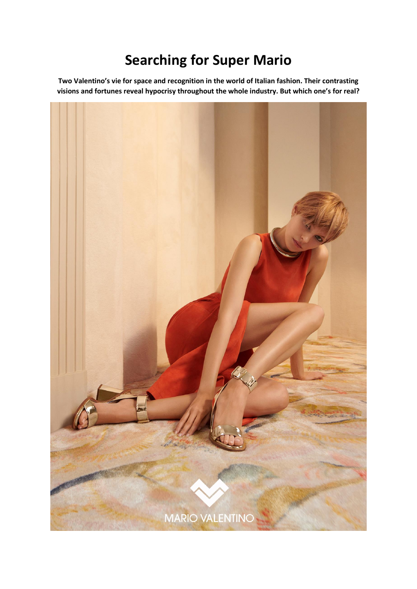## **Searching for Super Mario**

**Two Valentino's vie for space and recognition in the world of Italian fashion. Their contrasting visions and fortunes reveal hypocrisy throughout the whole industry. But which one's for real?**

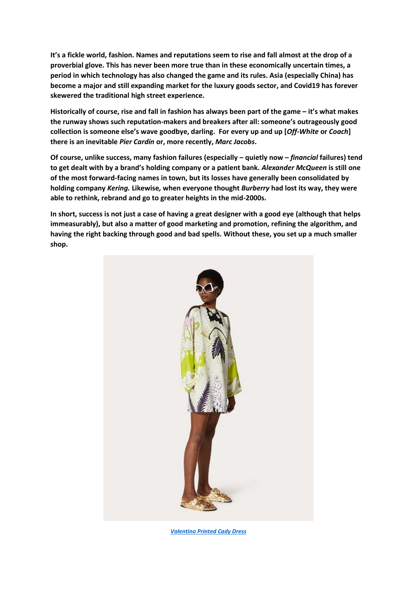**It's a fickle world, fashion. Names and reputations seem to rise and fall almost at the drop of a proverbial glove. This has never been more true than in these economically uncertain times, a period in which technology has also changed the game and its rules. Asia (especially China) has become a major and still expanding market for the luxury goods sector, and Covid19 has forever skewered the traditional high street experience.** 

**Historically of course, rise and fall in fashion has always been part of the game – it's what makes the runway shows such reputation-makers and breakers after all: someone's outrageously good collection is someone else's wave goodbye, darling. For every up and up [***Off-White* **or** *Coach***] there is an inevitable** *Pier Cardin* **or, more recently,** *Marc Jacobs***.** 

**Of course, unlike success, many fashion failures (especially – quietly now –** *financial* **failures) tend to get dealt with by a brand's holding company or a patient bank.** *Alexander McQueen* **is still one of the most forward-facing names in town, but its losses have generally been consolidated by holding company** *Kering.* **Likewise***,* **when everyone thought** *Burberry* **had lost its way, they were able to rethink, rebrand and go to greater heights in the mid-2000s.** 

**In short, success is not just a case of having a great designer with a good eye (although that helps immeasurably), but also a matter of good marketing and promotion, refining the algorithm, and having the right backing through good and bad spells. Without these, you set up a much smaller shop.**



*[Valentino Printed Cady Dress](https://www.valentino.com/en-gb/short_cod2204324140540826.html#dept=DI_Dresses_W)*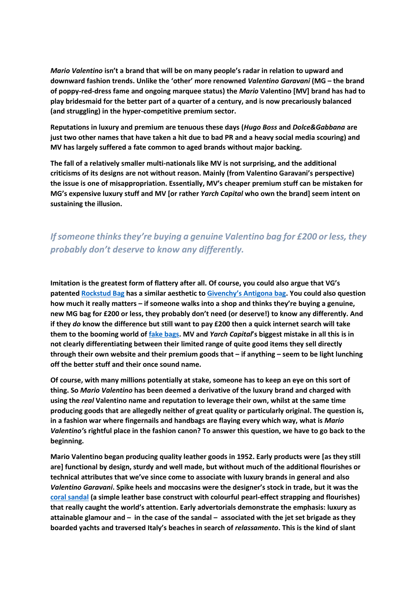*Mario Valentino* **isn't a brand that will be on many people's radar in relation to upward and downward fashion trends. Unlike the 'other' more renowned** *Valentino Garavani* **(MG – the brand of poppy-red-dress fame and ongoing marquee status) the** *Mario* **Valentino [MV] brand has had to play bridesmaid for the better part of a quarter of a century, and is now precariously balanced (and struggling) in the hyper-competitive premium sector.** 

**Reputations in luxury and premium are tenuous these days (***Hugo Boss* **and** *Dolce&Gabbana* **are just two other names that have taken a hit due to bad PR and a heavy social media scouring) and MV has largely suffered a fate common to aged brands without major backing.** 

**The fall of a relatively smaller multi-nationals like MV is not surprising, and the additional criticisms of its designs are not without reason. Mainly (from Valentino Garavani's perspective) the issue is one of misappropriation. Essentially, MV's cheaper premium stuff can be mistaken for MG's expensive luxury stuff and MV [or rather** *Yarch Capital* **who own the brand] seem intent on sustaining the illusion.**

## *If someone thinks they're buying a genuine Valentino bag for £200 or less, they probably don't deserve to know any differently.*

**Imitation is the greatest form of flattery after all. Of course, you could also argue that VG's patented [Rockstud Bag](https://www.farfetch.com/uk/shopping/women/valentino-garavani-medium-rockstud-leather-tote-item-15159139.aspx?size=17&storeid=9870&utm_source=google&utm_medium=cpc&utm_keywordid=126432350&utm_shoppingproductid=15159139-791101013283105122101&pid=google_search&af_channel=Search&c=1603618029&af_c_id=1603618029&af_siteid=&af_keywords=aud-297012351259:pla-385485196981&af_adset_id=66294291252&af_ad_id=305209734641&af_sub1=126432350&af_sub5=15159139-791101013283105122101&is_retargeting=true&shopping=yes&gclid=CjwKCAjwhMmEBhBwEiwAXwFoERGPteI-8K_Pq5qQOnu_KhaZYS38Xg-wtNhJ0_UTVF3fgaZeBJmAmBoCPPcQAvD_BwE) has a similar aesthetic to [Givenchy's Antigona bag](https://www.ssense.com/en-gb/women/product/givenchy/black-medium-antigona-bag/4495971?gclid=CjwKCAjwhMmEBhBwEiwAXwFoEdEIjagmYUPNh-t1rI1sg3btdJZA_icJDUYNbvuZgZHACPaOCY0mqhoCwCUQAvD_BwE). You could also question how much it really matters – if someone walks into a shop and thinks they're buying a genuine, new MG bag for £200 or less, they probably don't need (or deserve!) to know any differently. And if they** *do* **know the difference but still want to pay £200 then a quick internet search will take them to the booming world o[f fake bags.](http://www.takevalentino.com/product_list-Valentino-Bags-c__139.html) MV and** *Yarch Capital***'s biggest mistake in all this is in not clearly differentiating between their limited range of quite good items they sell directly through their own website and their premium goods that – if anything – seem to be light lunching off the better stuff and their once sound name.**

**Of course, with many millions potentially at stake, someone has to keep an eye on this sort of thing. So** *Mario Valentino* **has been deemed a derivative of the luxury brand and charged with using the** *real* **Valentino name and reputation to leverage their own, whilst at the same time producing goods that are allegedly neither of great quality or particularly original. The question is, in a fashion war where fingernails and handbags are flaying every which way, what is** *Mario Valentino'***s rightful place in the fashion canon? To answer this question, we have to go back to the beginning.** 

**Mario Valentino began producing quality leather goods in 1952. Early products were [as they still are] functional by design, sturdy and well made, but without much of the additional flourishes or technical attributes that we've since come to associate with luxury brands in general and also** *Valentino Garavani***. Spike heels and moccasins were the designer's stock in trade, but it was the [coral sandal](https://www.fashionbeginners.com/wp-content/uploads/2018/11/MARIO-VALENTINO-Una-storia-fra-moda-design-arte-libro-Skira-2-e1587668467644.jpg) (a simple leather base construct with colourful pearl-effect strapping and flourishes) that really caught the world's attention. Early advertorials demonstrate the emphasis: luxury as attainable glamour and – in the case of the sandal – associated with the jet set brigade as they boarded yachts and traversed Italy's beaches in search of** *relassamento***. This is the kind of slant**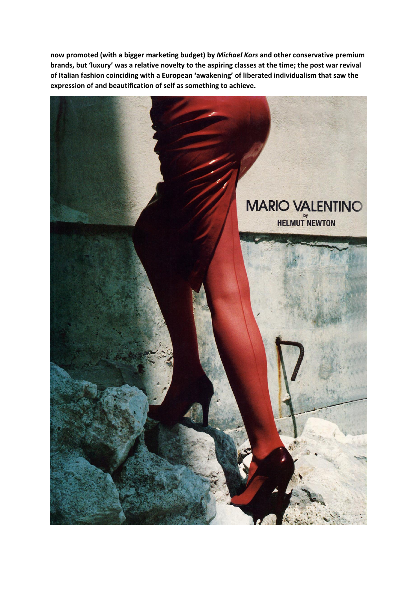**now promoted (with a bigger marketing budget) by** *Michael Kors* **and other conservative premium brands, but 'luxury' was a relative novelty to the aspiring classes at the time; the post war revival of Italian fashion coinciding with a European 'awakening' of liberated individualism that saw the expression of and beautification of self as something to achieve.**